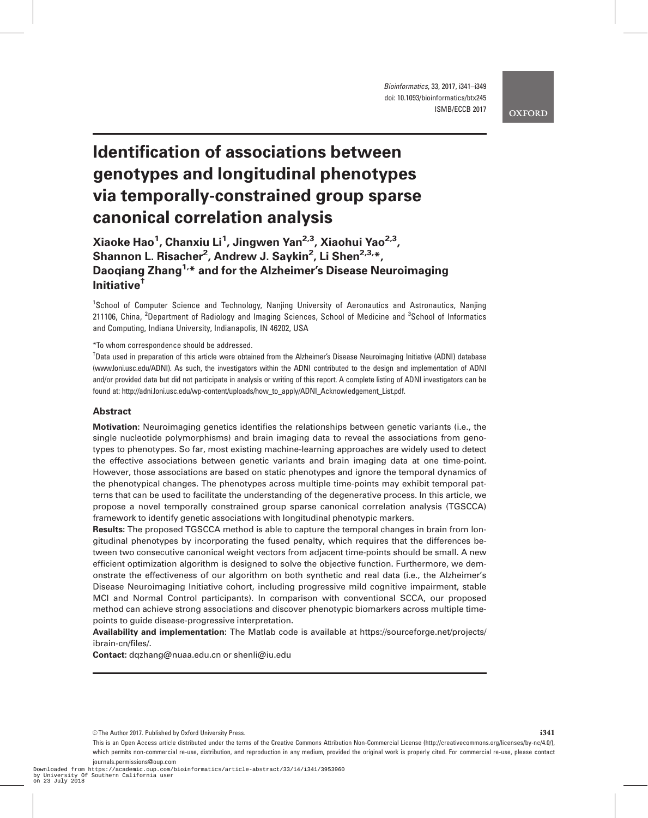**OXFORD** 

# Identification of associations between genotypes and longitudinal phenotypes via temporally-constrained group sparse canonical correlation analysis

Xiaoke Hao<sup>1</sup>, Chanxiu Li<sup>1</sup>, Jingwen Yan<sup>2,3</sup>, Xiaohui Yao<sup>2,3</sup>, Shannon L. Risacher<sup>2</sup>, Andrew J. Saykin<sup>2</sup>, Li Shen<sup>2,3,</sup>\*, Daoqiang Zhang<sup>1,\*</sup> and for the Alzheimer's Disease Neuroimaging Initiative†

<sup>1</sup>School of Computer Science and Technology, Nanjing University of Aeronautics and Astronautics, Nanjing 211106, China, <sup>2</sup>Department of Radiology and Imaging Sciences, School of Medicine and <sup>3</sup>School of Informatics and Computing, Indiana University, Indianapolis, IN 46202, USA

\*To whom correspondence should be addressed.

<sup>†</sup>Data used in preparation of this article were obtained from the Alzheimer's Disease Neuroimaging Initiative (ADNI) database ([www.loni.usc.edu/ADNI\)](http://www.loni.usc.edu/ADNI). As such, the investigators within the ADNI contributed to the design and implementation of ADNI and/or provided data but did not participate in analysis or writing of this report. A complete listing of ADNI investigators can be found at: [http://adni.loni.usc.edu/wp-content/uploads/how\\_to\\_apply/ADNI\\_Acknowledgement\\_List.pdf.](http://adni.loni.usc.edu/wp-content/uploads/how_to_apply/ADNI_Acknowledgement_List.pdf)

# Abstract

Motivation: Neuroimaging genetics identifies the relationships between genetic variants (i.e., the single nucleotide polymorphisms) and brain imaging data to reveal the associations from genotypes to phenotypes. So far, most existing machine-learning approaches are widely used to detect the effective associations between genetic variants and brain imaging data at one time-point. However, those associations are based on static phenotypes and ignore the temporal dynamics of the phenotypical changes. The phenotypes across multiple time-points may exhibit temporal patterns that can be used to facilitate the understanding of the degenerative process. In this article, we propose a novel temporally constrained group sparse canonical correlation analysis (TGSCCA) framework to identify genetic associations with longitudinal phenotypic markers.

Results: The proposed TGSCCA method is able to capture the temporal changes in brain from longitudinal phenotypes by incorporating the fused penalty, which requires that the differences between two consecutive canonical weight vectors from adjacent time-points should be small. A new efficient optimization algorithm is designed to solve the objective function. Furthermore, we demonstrate the effectiveness of our algorithm on both synthetic and real data (i.e., the Alzheimer's Disease Neuroimaging Initiative cohort, including progressive mild cognitive impairment, stable MCI and Normal Control participants). In comparison with conventional SCCA, our proposed method can achieve strong associations and discover phenotypic biomarkers across multiple timepoints to guide disease-progressive interpretation.

Availability and implementation: The Matlab code is available at [https://sourceforge.net/projects/](https://sourceforge.net/projects/ibrain-cn/files/) [ibrain-cn/files/.](https://sourceforge.net/projects/ibrain-cn/files/)

Contact: dqzhang@nuaa.edu.cn or shenli@iu.edu

This is an Open Access article distributed under the terms of the Creative Commons Attribution Non-Commercial License (http://creativecommons.org/licenses/by-nc/4.0/), which permits non-commercial re-use, distribution, and reproduction in any medium, provided the original work is properly cited. For commercial re-use, please contact journals.permissions@oup.com

Downloaded from https://academic.oup.com/bioinformatics/article-abstract/33/14/i341/3953960 by University Of Southern California user on 23 July 2018

 $\heartsuit$  The Author 2017. Published by Oxford University Press. in the state of the state of the state of the state of the state of the state of the state of the state of the state of the state of the state of the state of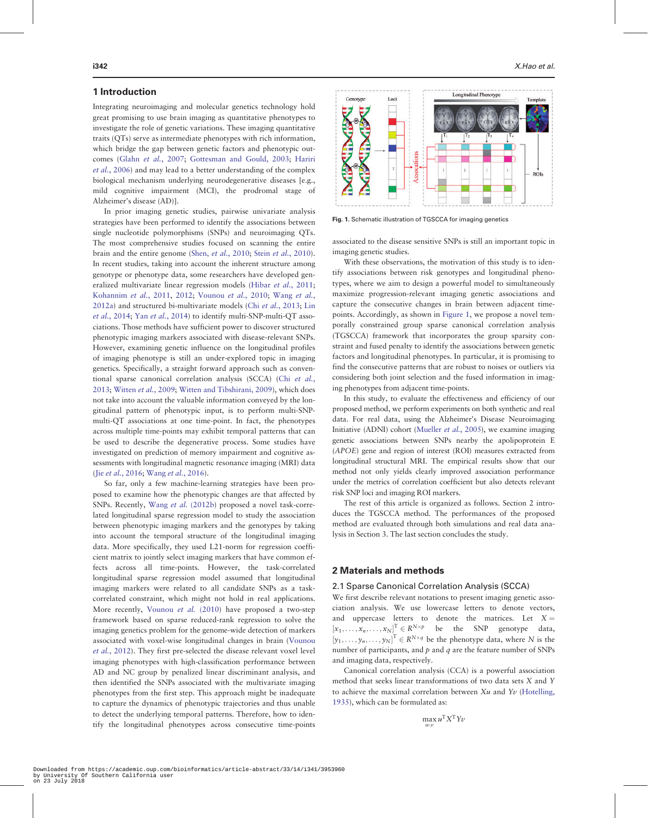## <span id="page-1-0"></span>1 Introduction

Integrating neuroimaging and molecular genetics technology hold great promising to use brain imaging as quantitative phenotypes to investigate the role of genetic variations. These imaging quantitative traits (QTs) serve as intermediate phenotypes with rich information, which bridge the gap between genetic factors and phenotypic outcomes (Glahn et al.[, 2007;](#page-7-0) [Gottesman and Gould, 2003](#page-7-0); [Hariri](#page-7-0) et al.[, 2006\)](#page-7-0) and may lead to a better understanding of the complex biological mechanism underlying neurodegenerative diseases [e.g., mild cognitive impairment (MCI), the prodromal stage of Alzheimer's disease (AD)].

In prior imaging genetic studies, pairwise univariate analysis strategies have been performed to identify the associations between single nucleotide polymorphisms (SNPs) and neuroimaging QTs. The most comprehensive studies focused on scanning the entire brain and the entire genome (Shen, et al.[, 2010](#page-8-0); Stein et al.[, 2010\)](#page-8-0). In recent studies, taking into account the inherent structure among genotype or phenotype data, some researchers have developed gen-eralized multivariate linear regression models (Hibar et al.[, 2011](#page-7-0); [Kohannim](#page-7-0) et al., 2011, [2012](#page-7-0); [Vounou](#page-8-0) et al., 2010; [Wang](#page-8-0) et al., [2012a](#page-8-0)) and structured bi-multivariate models (Chi et al.[, 2013](#page-7-0); [Lin](#page-7-0) et al.[, 2014;](#page-7-0) Yan et al.[, 2014](#page-8-0)) to identify multi-SNP-multi-QT associations. Those methods have sufficient power to discover structured phenotypic imaging markers associated with disease-relevant SNPs. However, examining genetic influence on the longitudinal profiles of imaging phenotype is still an under-explored topic in imaging genetics. Specifically, a straight forward approach such as conventional sparse canonical correlation analysis (SCCA) (Chi [et al.](#page-7-0), [2013](#page-7-0); [Witten](#page-8-0) et al., 2009; [Witten and Tibshirani, 2009](#page-8-0)), which does not take into account the valuable information conveyed by the longitudinal pattern of phenotypic input, is to perform multi-SNPmulti-QT associations at one time-point. In fact, the phenotypes across multiple time-points may exhibit temporal patterns that can be used to describe the degenerative process. Some studies have investigated on prediction of memory impairment and cognitive assessments with longitudinal magnetic resonance imaging (MRI) data (Jie et al.[, 2016;](#page-7-0) Wang et al.[, 2016\)](#page-8-0).

So far, only a few machine-learning strategies have been proposed to examine how the phenotypic changes are that affected by SNPs. Recently, Wang et al. [\(2012b](#page-8-0)) proposed a novel task-correlated longitudinal sparse regression model to study the association between phenotypic imaging markers and the genotypes by taking into account the temporal structure of the longitudinal imaging data. More specifically, they used L21-norm for regression coefficient matrix to jointly select imaging markers that have common effects across all time-points. However, the task-correlated longitudinal sparse regression model assumed that longitudinal imaging markers were related to all candidate SNPs as a taskcorrelated constraint, which might not hold in real applications. More recently, [Vounou](#page-8-0) et al. (2010) have proposed a two-step framework based on sparse reduced-rank regression to solve the imaging genetics problem for the genome-wide detection of markers associated with voxel-wise longitudinal changes in brain ([Vounou](#page-8-0) et al.[, 2012](#page-8-0)). They first pre-selected the disease relevant voxel level imaging phenotypes with high-classification performance between AD and NC group by penalized linear discriminant analysis, and then identified the SNPs associated with the multivariate imaging phenotypes from the first step. This approach might be inadequate to capture the dynamics of phenotypic trajectories and thus unable to detect the underlying temporal patterns. Therefore, how to identify the longitudinal phenotypes across consecutive time-points



Fig. 1. Schematic illustration of TGSCCA for imaging genetics

associated to the disease sensitive SNPs is still an important topic in imaging genetic studies.

With these observations, the motivation of this study is to identify associations between risk genotypes and longitudinal phenotypes, where we aim to design a powerful model to simultaneously maximize progression-relevant imaging genetic associations and capture the consecutive changes in brain between adjacent timepoints. Accordingly, as shown in Figure 1, we propose a novel temporally constrained group sparse canonical correlation analysis (TGSCCA) framework that incorporates the group sparsity constraint and fused penalty to identify the associations between genetic factors and longitudinal phenotypes. In particular, it is promising to find the consecutive patterns that are robust to noises or outliers via considering both joint selection and the fused information in imaging phenotypes from adjacent time-points.

In this study, to evaluate the effectiveness and efficiency of our proposed method, we perform experiments on both synthetic and real data. For real data, using the Alzheimer's Disease Neuroimaging Initiative (ADNI) cohort [\(Mueller](#page-7-0) et al., 2005), we examine imaging genetic associations between SNPs nearby the apolipoprotein E (APOE) gene and region of interest (ROI) measures extracted from longitudinal structural MRI. The empirical results show that our method not only yields clearly improved association performance under the metrics of correlation coefficient but also detects relevant risk SNP loci and imaging ROI markers.

The rest of this article is organized as follows. Section 2 introduces the TGSCCA method. The performances of the proposed method are evaluated through both simulations and real data analysis in Section 3. The last section concludes the study.

## 2 Materials and methods

### 2.1 Sparse Canonical Correlation Analysis (SCCA)

We first describe relevant notations to present imaging genetic association analysis. We use lowercase letters to denote vectors, and uppercase letters to denote the matrices. Let  $X =$  $[x_1, \ldots, x_n, \ldots, x_N]^T \in R^{N \times p}$  be the SNP genotype data,  $[y_1, \ldots, y_n, \ldots, y_N]^T \in R^{N \times q}$  be the phenotype data, where N is the number of participants, and  $p$  and  $q$  are the feature number of SNPs and imaging data, respectively.

Canonical correlation analysis (CCA) is a powerful association method that seeks linear transformations of two data sets X and Y to achieve the maximal correlation between  $Xu$  and  $Yv$  ([Hotelling,](#page-7-0) [1935](#page-7-0)), which can be formulated as:

$$
\max_{w,v} u^{\mathrm{T}} X^{\mathrm{T}} Y v
$$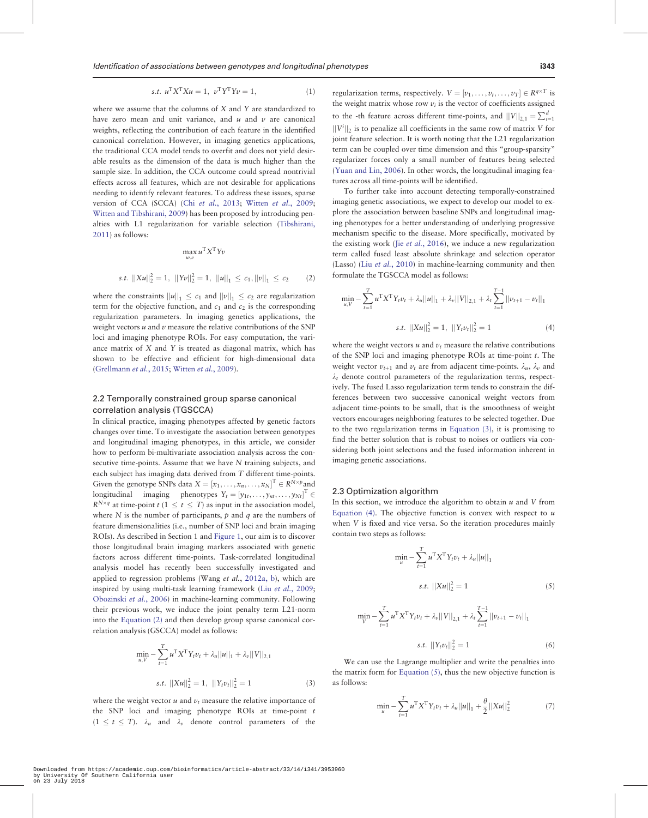s.t. 
$$
u^{\text{T}} X^{\text{T}} X u = 1, v^{\text{T}} Y^{\text{T}} Y v = 1,
$$
 (1)

<span id="page-2-0"></span>where we assume that the columns of X and Y are standardized to have zero mean and unit variance, and  $u$  and  $v$  are canonical weights, reflecting the contribution of each feature in the identified canonical correlation. However, in imaging genetics applications, the traditional CCA model tends to overfit and does not yield desirable results as the dimension of the data is much higher than the sample size. In addition, the CCA outcome could spread nontrivial effects across all features, which are not desirable for applications needing to identify relevant features. To address these issues, sparse version of CCA (SCCA) (Chi et al.[, 2013](#page-7-0); Witten et al.[, 2009](#page-8-0); [Witten and Tibshirani, 2009\)](#page-8-0) has been proposed by introducing penalties with L1 regularization for variable selection ([Tibshirani,](#page-8-0) [2011](#page-8-0)) as follows:

$$
\max_{u,v} u^{\mathrm{T}} X^{\mathrm{T}} Y v
$$
  
s.t.  $||Xu||_2^2 = 1$ ,  $||Yv||_2^2 = 1$ ,  $||u||_1 \le c_1$ ,  $||v||_1 \le c_2$  (2)

where the constraints  $||u||_1 \le c_1$  and  $||v||_1 \le c_2$  are regularization term for the objective function, and  $c_1$  and  $c_2$  is the corresponding regularization parameters. In imaging genetics applications, the weight vectors  $u$  and  $v$  measure the relative contributions of the SNP loci and imaging phenotype ROIs. For easy computation, the variance matrix of X and Y is treated as diagonal matrix, which has shown to be effective and efficient for high-dimensional data [\(Grellmann](#page-7-0) et al., 2015; [Witten](#page-8-0) et al., 2009).

## 2.2 Temporally constrained group sparse canonical correlation analysis (TGSCCA)

In clinical practice, imaging phenotypes affected by genetic factors changes over time. To investigate the association between genotypes and longitudinal imaging phenotypes, in this article, we consider how to perform bi-multivariate association analysis across the consecutive time-points. Assume that we have N training subjects, and each subject has imaging data derived from T different time-points. Given the genotype SNPs data  $X = [x_1, \dots, x_n, \dots, x_N]^T \in R^{N \times p}$  and longitudinal imaging phenotypes  $Y_t = [y_{1t}, \dots, y_{nt}, \dots, y_{Nt}]^T \in$  $R^{N \times q}$  at time-point  $t$  ( $1 \le t \le T$ ) as input in the association model, where N is the number of participants,  $p$  and  $q$  are the numbers of feature dimensionalities (i.e., number of SNP loci and brain imaging ROIs). As described in Section 1 and [Figure 1](#page-1-0), our aim is to discover those longitudinal brain imaging markers associated with genetic factors across different time-points. Task-correlated longitudinal analysis model has recently been successfully investigated and applied to regression problems (Wang et al., [2012a, b](#page-8-0)), which are inspired by using multi-task learning framework (Liu et al.[, 2009](#page-7-0); [Obozinski](#page-7-0) et al., 2006) in machine-learning community. Following their previous work, we induce the joint penalty term L21-norm into the Equation (2) and then develop group sparse canonical correlation analysis (GSCCA) model as follows:

$$
\min_{u,V} - \sum_{t=1}^{T} u^{\mathrm{T}} X^{\mathrm{T}} Y_t v_t + \lambda_u ||u||_1 + \lambda_v ||V||_{2,1}
$$
  
s.t.  $||Xu||_2^2 = 1$ ,  $||Y_t v_t||_2^2 = 1$  (3)

where the weight vector  $u$  and  $v_t$  measure the relative importance of the SNP loci and imaging phenotype ROIs at time-point  $t$  $(1 \le t \le T)$ .  $\lambda_u$  and  $\lambda_v$  denote control parameters of the

regularization terms, respectively.  $V = [\nu_1, \dots, \nu_t, \dots, \nu_T] \in R^{q \times T}$  is the weight matrix whose row  $v_i$  is the vector of coefficients assigned to the -th feature across different time-points, and  $||V||_{2,1} = \sum_{i=1}^{d}$  $\|V^i\|_2$  is to penalize all coefficients in the same row of matrix V for joint feature selection. It is worth noting that the L21 regularization term can be coupled over time dimension and this "group-sparsity" regularizer forces only a small number of features being selected [\(Yuan and Lin, 2006\)](#page-8-0). In other words, the longitudinal imaging features across all time-points will be identified.

To further take into account detecting temporally-constrained imaging genetic associations, we expect to develop our model to explore the association between baseline SNPs and longitudinal imaging phenotypes for a better understanding of underlying progressive mechanism specific to the disease. More specifically, motivated by the existing work (Jie et al.[, 2016\)](#page-7-0), we induce a new regularization term called fused least absolute shrinkage and selection operator (Lasso) (Liu et al.[, 2010](#page-7-0)) in machine-learning community and then formulate the TGSCCA model as follows:

$$
\min_{u,V} - \sum_{t=1}^{T} u^{\mathrm{T}} X^{\mathrm{T}} Y_t v_t + \lambda_u ||u||_1 + \lambda_v ||V||_{2,1} + \lambda_t \sum_{t=1}^{T-1} ||v_{t+1} - v_t||_1
$$
  
s.t.  $||Xu||_2^2 = 1$ ,  $||Y_t v_t||_2^2 = 1$  (4)

where the weight vectors  $u$  and  $v_t$  measure the relative contributions of the SNP loci and imaging phenotype ROIs at time-point  $t$ . The weight vector  $v_{t+1}$  and  $v_t$  are from adjacent time-points.  $\lambda_u$ ,  $\lambda_v$  and  $\lambda_t$  denote control parameters of the regularization terms, respectively. The fused Lasso regularization term tends to constrain the differences between two successive canonical weight vectors from adjacent time-points to be small, that is the smoothness of weight vectors encourages neighboring features to be selected together. Due to the two regularization terms in Equation (3), it is promising to find the better solution that is robust to noises or outliers via considering both joint selections and the fused information inherent in imaging genetic associations.

### 2.3 Optimization algorithm

In this section, we introduce the algorithm to obtain  $u$  and  $V$  from Equation (4). The objective function is convex with respect to  $u$ when V is fixed and vice versa. So the iteration procedures mainly contain two steps as follows:

$$
\min_{u} - \sum_{t=1}^{T} u^{T} X^{T} Y_{t} v_{t} + \lambda_{u} ||u||_{1}
$$
  
s.t.  $||Xu||_{2}^{2} = 1$  (5)

$$
\min_{V} - \sum_{t=1}^{T} u^{\mathrm{T}} X^{\mathrm{T}} Y_{t} v_{t} + \lambda_{v} ||V||_{2,1} + \lambda_{t} \sum_{t=1}^{T-1} ||v_{t+1} - v_{t}||_{1}
$$
  
s.t.  $||Y_{t} v_{t}||_{2}^{2} = 1$  (6)

We can use the Lagrange multiplier and write the penalties into the matrix form for Equation (5), thus the new objective function is as follows:

$$
\min_{u} - \sum_{t=1}^{T} u^{\mathrm{T}} X^{\mathrm{T}} Y_{t} v_{t} + \lambda_{u} ||u||_{1} + \frac{\theta}{2} ||Xu||_{2}^{2}
$$
 (7)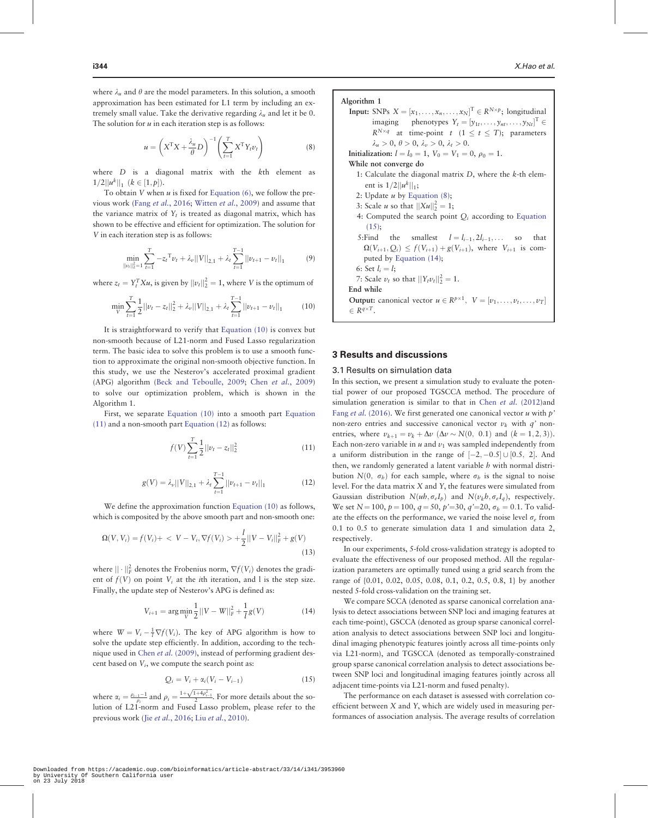where  $\lambda_{\mu}$  and  $\theta$  are the model parameters. In this solution, a smooth approximation has been estimated for L1 term by including an extremely small value. Take the derivative regarding  $\lambda_u$  and let it be 0. The solution for  $u$  in each iteration step is as follows:

$$
u = \left(X^{\mathrm{T}}X + \frac{\lambda_u}{\theta}D\right)^{-1} \left(\sum_{t=1}^T X^{\mathrm{T}}Y_t v_t\right) \tag{8}
$$

where D is a diagonal matrix with the kth element as  $1/2||u^k||_1$   $(k \in [1, p]).$ 

To obtain V when  $u$  is fixed for [Equation \(6\)](#page-2-0), we follow the previous work (Fang et al.[, 2016](#page-7-0); [Witten](#page-8-0) et al., 2009) and assume that the variance matrix of  $Y_t$  is treated as diagonal matrix, which has shown to be effective and efficient for optimization. The solution for V in each iteration step is as follows:

$$
\min_{\|v_t\|_{2}^{2}} \sum_{t=1}^{T} -z_t^{\mathrm{T}} v_t + \lambda_v ||V||_{2,1} + \lambda_t \sum_{t=1}^{T-1} ||v_{t+1} - v_t||_{1} \tag{9}
$$

where  $z_t = Y_t^T X u$ , is given by  $||v_t||_2^2 = 1$ , where V is the optimum of

$$
\min_{V} \sum_{t=1}^{T} \frac{1}{2} ||v_t - z_t||_2^2 + \lambda_v ||V||_{2,1} + \lambda_t \sum_{t=1}^{T-1} ||v_{t+1} - v_t||_1 \tag{10}
$$

It is straightforward to verify that Equation (10) is convex but non-smooth because of L21-norm and Fused Lasso regularization term. The basic idea to solve this problem is to use a smooth function to approximate the original non-smooth objective function. In this study, we use the Nesterov's accelerated proximal gradient (APG) algorithm ([Beck and Teboulle, 2009](#page-7-0); Chen et al.[, 2009\)](#page-7-0) to solve our optimization problem, which is shown in the Algorithm 1.

First, we separate Equation (10) into a smooth part Equation (11) and a non-smooth part Equation (12) as follows:

$$
f(V)\sum_{t=1}^{T} \frac{1}{2} ||v_t - z_t||_2^2
$$
\n(11)

$$
g(V) = \lambda_v ||V||_{2,1} + \lambda_t \sum_{t=1}^{T-1} ||v_{t+1} - v_t||_1
$$
 (12)

We define the approximation function Equation (10) as follows, which is composited by the above smooth part and non-smooth one:

$$
\Omega(V, V_i) = f(V_i) + \langle V - V_i, \nabla f(V_i) \rangle + \frac{1}{2} ||V - V_i||_F^2 + g(V)
$$
\n(13)

where  $|| \cdot ||_F^2$  denotes the Frobenius norm,  $\nabla f(V_i)$  denotes the gradient of  $f(V)$  on point  $V_i$  at the *i*th iteration, and l is the step size. Finally, the update step of Nesterov's APG is defined as:

$$
V_{i+1} = \arg\min_{V} \frac{1}{2} ||V - W||_F^2 + \frac{1}{l}g(V) \tag{14}
$$

where  $W = V_i - \frac{1}{l} \nabla f(V_i)$ . The key of APG algorithm is how to solve the update step efficiently. In addition, according to the tech-nique used in Chen et al. [\(2009\)](#page-7-0), instead of performing gradient descent based on  $V_i$ , we compute the search point as:

$$
Q_i = V_i + \alpha_i (V_i - V_{i-1})
$$
\n(15)

where  $\alpha_i = \frac{\rho_{i-1} - 1}{\rho_i}$  and  $\rho_i = \frac{1 + \sqrt{1 + 4\rho_{i-1}^2}}{2}$  $\frac{1}{2}$ . For more details about the solution of L21-norm and Fused Lasso problem, please refer to the previous work (Jie et al.[, 2016;](#page-7-0) Liu et al.[, 2010](#page-7-0)).

Algorithm 1 **Input:** SNPs  $X = [x_1, \dots, x_n, \dots, x_N]^T \in R^{N \times p}$ ; longitudinal imaging phenotypes  $Y_t = [y_{1t}, \dots, y_{nt}, \dots, y_{Nt}]^T \in$  $R^{N \times q}$  at time-point  $t \ (1 \leq t \leq T);$  parameters  $\lambda_u > 0, \ \theta > 0, \ \lambda_v > 0, \ \lambda_t > 0.$ Initialization:  $l = l_0 = 1$ ,  $V_0 = V_1 = 0$ ,  $\rho_0 = 1$ . While not converge do 1: Calculate the diagonal matrix  $D$ , where the  $k$ -th element is  $1/2||u^k||_1$ ; 2: Update  $u$  by Equation (8); 3: Scale *u* so that  $||Xu||_2^2 = 1$ ; 4: Computed the search point  $Q_i$  according to Equation  $(15):$ 5:Find the smallest  $l = l_{i-1}, 2l_{i-1}, ...$  so that  $\Omega(V_{i+1}, Q_i) \leq f(V_{i+1}) + g(V_{i+1}),$  where  $V_{i+1}$  is computed by Equation (14); 6: Set  $l_i = l;$ 7: Scale  $v_t$  so that  $||Y_t v_t||_2^2 = 1$ . End while Output: canonical vector  $u \in R^{p \times 1}$ ,  $V = [v_1, \dots, v_t, \dots, v_T]$  $\in R^{q \times T}.$ 

# 3 Results and discussions

### 3.1 Results on simulation data

In this section, we present a simulation study to evaluate the potential power of our proposed TGSCCA method. The procedure of simulation generation is similar to that in Chen et al. [\(2012](#page-7-0))and Fang et al. [\(2016\)](#page-7-0). We first generated one canonical vector  $u$  with  $p'$ non-zero entries and successive canonical vector  $v_k$  with q' nonentries, where  $v_{k+1} = v_k + \Delta v \ (\Delta v \sim N(0, 0.1)$  and  $(k = 1, 2, 3)$ . Each non-zero variable in  $u$  and  $v_1$  was sampled independently from a uniform distribution in the range of  $[-2, -0.5] \cup [0.5, 2]$ . And then, we randomly generated a latent variable  $h$  with normal distribution  $N(0, \sigma_h)$  for each sample, where  $\sigma_h$  is the signal to noise level. For the data matrix X and Y, the features were simulated from Gaussian distribution  $N(uh, \sigma_e I_p)$  and  $N(v_kh, \sigma_e I_q)$ , respectively. We set  $N = 100$ ,  $p = 100$ ,  $q = 50$ ,  $p' = 30$ ,  $q' = 20$ ,  $\sigma_h = 0.1$ . To validate the effects on the performance, we varied the noise level  $\sigma_e$  from 0.1 to 0.5 to generate simulation data 1 and simulation data 2, respectively.

In our experiments, 5-fold cross-validation strategy is adopted to evaluate the effectiveness of our proposed method. All the regularization parameters are optimally tuned using a grid search from the range of {0.01, 0.02, 0.05, 0.08, 0.1, 0.2, 0.5, 0.8, 1} by another nested 5-fold cross-validation on the training set.

We compare SCCA (denoted as sparse canonical correlation analysis to detect associations between SNP loci and imaging features at each time-point), GSCCA (denoted as group sparse canonical correlation analysis to detect associations between SNP loci and longitudinal imaging phenotypic features jointly across all time-points only via L21-norm), and TGSCCA (denoted as temporally-constrained group sparse canonical correlation analysis to detect associations between SNP loci and longitudinal imaging features jointly across all adjacent time-points via L21-norm and fused penalty).

The performance on each dataset is assessed with correlation coefficient between X and Y, which are widely used in measuring performances of association analysis. The average results of correlation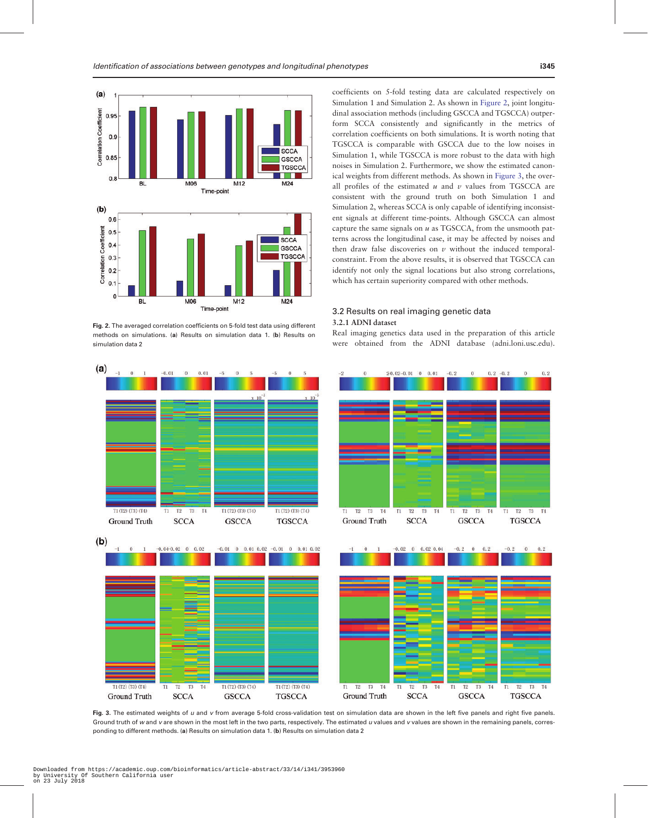

Fig. 2. The averaged correlation coefficients on 5-fold test data using different methods on simulations. (a) Results on simulation data 1. (b) Results on simulation data 2



Fig. 3. The estimated weights of u and v from average 5-fold cross-validation test on simulation data are shown in the left five panels and right five panels. Ground truth of w and v are shown in the most left in the two parts, respectively. The estimated u values and v values are shown in the remaining panels, corresponding to different methods. (a) Results on simulation data 1. (b) Results on simulation data 2

coefficients on 5-fold testing data are calculated respectively on Simulation 1 and Simulation 2. As shown in Figure 2, joint longitudinal association methods (including GSCCA and TGSCCA) outperform SCCA consistently and significantly in the metrics of correlation coefficients on both simulations. It is worth noting that TGSCCA is comparable with GSCCA due to the low noises in Simulation 1, while TGSCCA is more robust to the data with high noises in Simulation 2. Furthermore, we show the estimated canonical weights from different methods. As shown in Figure 3, the overall profiles of the estimated  $u$  and  $v$  values from TGSCCA are consistent with the ground truth on both Simulation 1 and Simulation 2, whereas SCCA is only capable of identifying inconsistent signals at different time-points. Although GSCCA can almost capture the same signals on  $u$  as TGSCCA, from the unsmooth patterns across the longitudinal case, it may be affected by noises and then draw false discoveries on  $\nu$  without the induced temporalconstraint. From the above results, it is observed that TGSCCA can identify not only the signal locations but also strong correlations, which has certain superiority compared with other methods.

## 3.2 Results on real imaging genetic data 3.2.1 ADNI dataset

Real imaging genetics data used in the preparation of this article were obtained from the ADNI database [\(adni.loni.usc.edu\)](http://adni.loni.usc.edu).



 $-0.2$ 

T1 T<sub>2</sub> T<sub>3</sub>

**TGSCCA**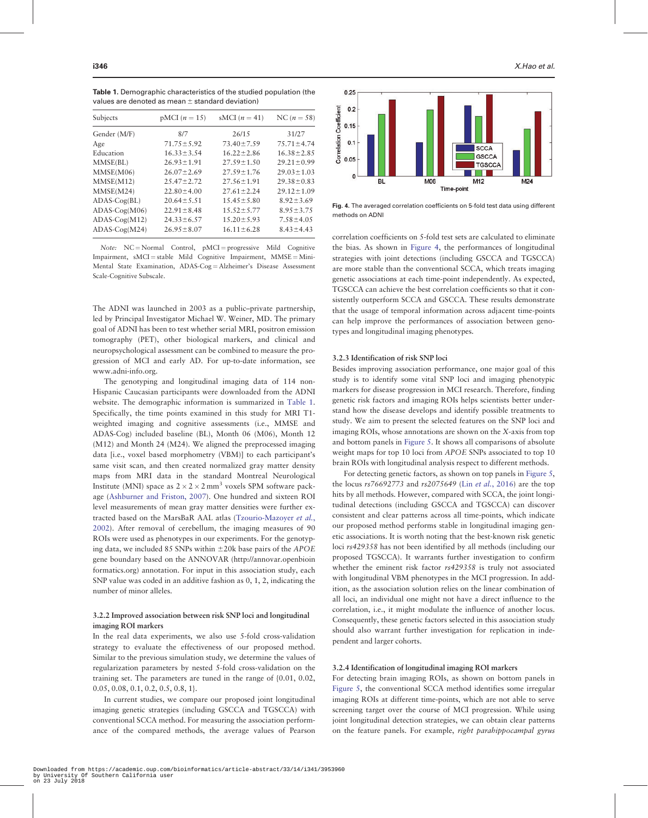Table 1. Demographic characteristics of the studied population (the values are denoted as mean  $\pm$  standard deviation)

| Subjects        | pMCI $(n=15)$    | sMCI $(n=41)$    | $NC (n = 58)$    |
|-----------------|------------------|------------------|------------------|
| Gender (M/F)    | 8/7              | 26/15            | 31/27            |
| Age             | $71.75 \pm 5.92$ | $73.40 \pm 7.59$ | $75.71 \pm 4.74$ |
| Education       | $16.33 \pm 3.54$ | $16.22 \pm 2.86$ | $16.38 \pm 2.85$ |
| MMSE(BL)        | $26.93 \pm 1.91$ | $27.59 \pm 1.50$ | $29.21 \pm 0.99$ |
| MMSE(M06)       | $26.07 \pm 2.69$ | $27.59 \pm 1.76$ | $29.03 \pm 1.03$ |
| MMSE(M12)       | $25.47 \pm 2.72$ | $27.56 \pm 1.91$ | $29.38 \pm 0.83$ |
| MMSE(M24)       | $22.80 \pm 4.00$ | $27.61 \pm 2.24$ | $29.12 \pm 1.09$ |
| $ADAS-Cog(BL)$  | $20.64 \pm 5.51$ | $15.45 \pm 5.80$ | $8.92 \pm 3.69$  |
| $ADAS-Cog(M06)$ | $22.91 \pm 8.48$ | $15.52 \pm 5.77$ | $8.95 \pm 3.75$  |
| $ADAS-Cog(M12)$ | $24.33 \pm 6.57$ | $15.20 \pm 5.93$ | $7.58 \pm 4.05$  |
| $ADAS-Cog(M24)$ | $26.95 \pm 8.07$ | $16.11 \pm 6.28$ | $8.43 \pm 4.43$  |

Note: NC=Normal Control, pMCI=progressive Mild Cognitive Impairment,  $sMCI = stable$  Mild Cognitive Impairment,  $MMSE = Mini$ -Mental State Examination, ADAS-Cog = Alzheimer's Disease Assessment Scale-Cognitive Subscale.

The ADNI was launched in 2003 as a public–private partnership, led by Principal Investigator Michael W. Weiner, MD. The primary goal of ADNI has been to test whether serial MRI, positron emission tomography (PET), other biological markers, and clinical and neuropsychological assessment can be combined to measure the progression of MCI and early AD. For up-to-date information, see [www.adni-info.org.](http://www.adni-info.org)

The genotyping and longitudinal imaging data of 114 non-Hispanic Caucasian participants were downloaded from the ADNI website. The demographic information is summarized in Table 1. Specifically, the time points examined in this study for MRI T1 weighted imaging and cognitive assessments (i.e., MMSE and ADAS-Cog) included baseline (BL), Month 06 (M06), Month 12 (M12) and Month 24 (M24). We aligned the preprocessed imaging data [i.e., voxel based morphometry (VBM)] to each participant's same visit scan, and then created normalized gray matter density maps from MRI data in the standard Montreal Neurological Institute (MNI) space as  $2 \times 2 \times 2$  mm<sup>3</sup> voxels SPM software package ([Ashburner and Friston, 2007\)](#page-7-0). One hundred and sixteen ROI level measurements of mean gray matter densities were further extracted based on the MarsBaR AAL atlas [\(Tzourio-Mazoyer](#page-8-0) et al., [2002](#page-8-0)). After removal of cerebellum, the imaging measures of 90 ROIs were used as phenotypes in our experiments. For the genotyping data, we included 85 SNPs within  $\pm$ 20k base pairs of the APOE gene boundary based on the ANNOVAR ([http://annovar.openbioin](http://annovar.openbioinformatics.org) [formatics.org\)](http://annovar.openbioinformatics.org) annotation. For input in this association study, each SNP value was coded in an additive fashion as 0, 1, 2, indicating the number of minor alleles.

## 3.2.2 Improved association between risk SNP loci and longitudinal imaging ROI markers

In the real data experiments, we also use 5-fold cross-validation strategy to evaluate the effectiveness of our proposed method. Similar to the previous simulation study, we determine the values of regularization parameters by nested 5-fold cross-validation on the training set. The parameters are tuned in the range of {0.01, 0.02, 0.05, 0.08, 0.1, 0.2, 0.5, 0.8, 1}.

In current studies, we compare our proposed joint longitudinal imaging genetic strategies (including GSCCA and TGSCCA) with conventional SCCA method. For measuring the association performance of the compared methods, the average values of Pearson



Fig. 4. The averaged correlation coefficients on 5-fold test data using different methods on ADNI

correlation coefficients on 5-fold test sets are calculated to eliminate the bias. As shown in Figure 4, the performances of longitudinal strategies with joint detections (including GSCCA and TGSCCA) are more stable than the conventional SCCA, which treats imaging genetic associations at each time-point independently. As expected, TGSCCA can achieve the best correlation coefficients so that it consistently outperform SCCA and GSCCA. These results demonstrate that the usage of temporal information across adjacent time-points can help improve the performances of association between genotypes and longitudinal imaging phenotypes.

#### 3.2.3 Identification of risk SNP loci

Besides improving association performance, one major goal of this study is to identify some vital SNP loci and imaging phenotypic markers for disease progression in MCI research. Therefore, finding genetic risk factors and imaging ROIs helps scientists better understand how the disease develops and identify possible treatments to study. We aim to present the selected features on the SNP loci and imaging ROIs, whose annotations are shown on the X-axis from top and bottom panels in [Figure 5](#page-6-0). It shows all comparisons of absolute weight maps for top 10 loci from APOE SNPs associated to top 10 brain ROIs with longitudinal analysis respect to different methods.

For detecting genetic factors, as shown on top panels in [Figure 5](#page-6-0), the locus  $rs76692773$  and  $rs2075649$  (Lin *et al.*[, 2016\)](#page-7-0) are the top hits by all methods. However, compared with SCCA, the joint longitudinal detections (including GSCCA and TGSCCA) can discover consistent and clear patterns across all time-points, which indicate our proposed method performs stable in longitudinal imaging genetic associations. It is worth noting that the best-known risk genetic loci rs429358 has not been identified by all methods (including our proposed TGSCCA). It warrants further investigation to confirm whether the eminent risk factor rs429358 is truly not associated with longitudinal VBM phenotypes in the MCI progression. In addition, as the association solution relies on the linear combination of all loci, an individual one might not have a direct influence to the correlation, i.e., it might modulate the influence of another locus. Consequently, these genetic factors selected in this association study should also warrant further investigation for replication in independent and larger cohorts.

#### 3.2.4 Identification of longitudinal imaging ROI markers

For detecting brain imaging ROIs, as shown on bottom panels in [Figure 5,](#page-6-0) the conventional SCCA method identifies some irregular imaging ROIs at different time-points, which are not able to serve screening target over the course of MCI progression. While using joint longitudinal detection strategies, we can obtain clear patterns on the feature panels. For example, right parahippocampal gyrus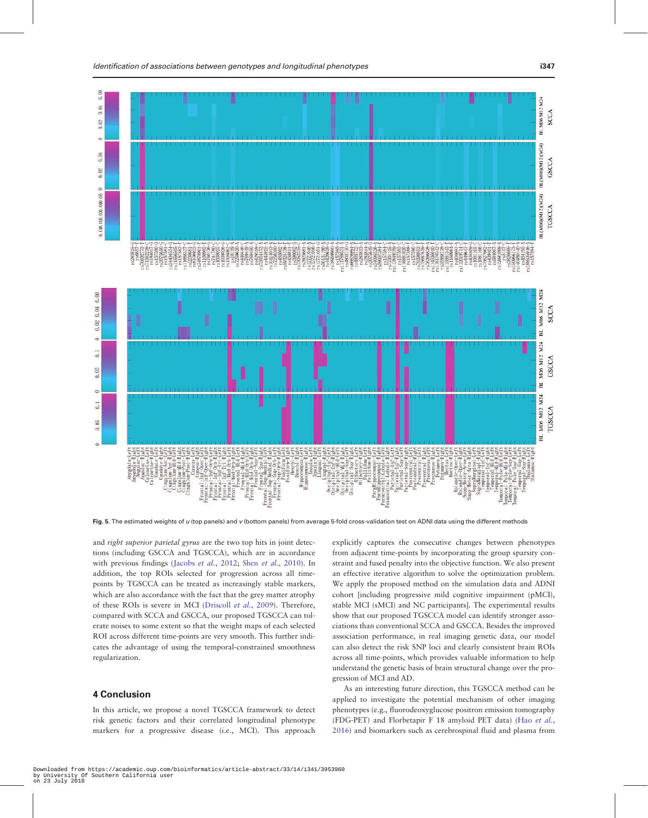<span id="page-6-0"></span>

Fig. 5. The estimated weights of  $u$  (top panels) and  $v$  (bottom panels) from average 5-fold cross-validation test on ADNI data using the different methods

and *right superior parietal gyrus* are the two top hits in joint detections (including GSCCA and TGSCCA), which are in accordance with previous findings (Jacobs et al.[, 2012;](#page-7-0) Shen et al.[, 2010](#page-8-0)). In addition, the top ROIs selected for progression across all timepoints by TGSCCA can be treated as increasingly stable markers, which are also accordance with the fact that the grey matter atrophy of these ROIs is severe in MCI ([Driscoll](#page-7-0) et al., 2009). Therefore, compared with SCCA and GSCCA, our proposed TGSCCA can tolerate noises to some extent so that the weight maps of each selected ROI across different time-points are very smooth. This further indicates the advantage of using the temporal-constrained smoothness regularization.

# 4 Conclusion

In this article, we propose a novel TGSCCA framework to detect risk genetic factors and their correlated longitudinal phenotype markers for a progressive disease (i.e., MCI). This approach explicitly captures the consecutive changes between phenotypes from adjacent time-points by incorporating the group sparsity constraint and fused penalty into the objective function. We also present an effective iterative algorithm to solve the optimization problem. We apply the proposed method on the simulation data and ADNI cohort [including progressive mild cognitive impairment (pMCI), stable MCI (sMCI) and NC participants]. The experimental results show that our proposed TGSCCA model can identify stronger associations than conventional SCCA and GSCCA. Besides the improved association performance, in real imaging genetic data, our model can also detect the risk SNP loci and clearly consistent brain ROIs across all time-points, which provides valuable information to help understand the genetic basis of brain structural change over the progression of MCI and AD.

As an interesting future direction, this TGSCCA method can be applied to investigate the potential mechanism of other imaging phenotypes (e.g., fluorodeoxyglucose positron emission tomography (FDG-PET) and Florbetapir F 18 amyloid PET data) (Hao [et al.](#page-7-0), [2016](#page-7-0)) and biomarkers such as cerebrospinal fluid and plasma from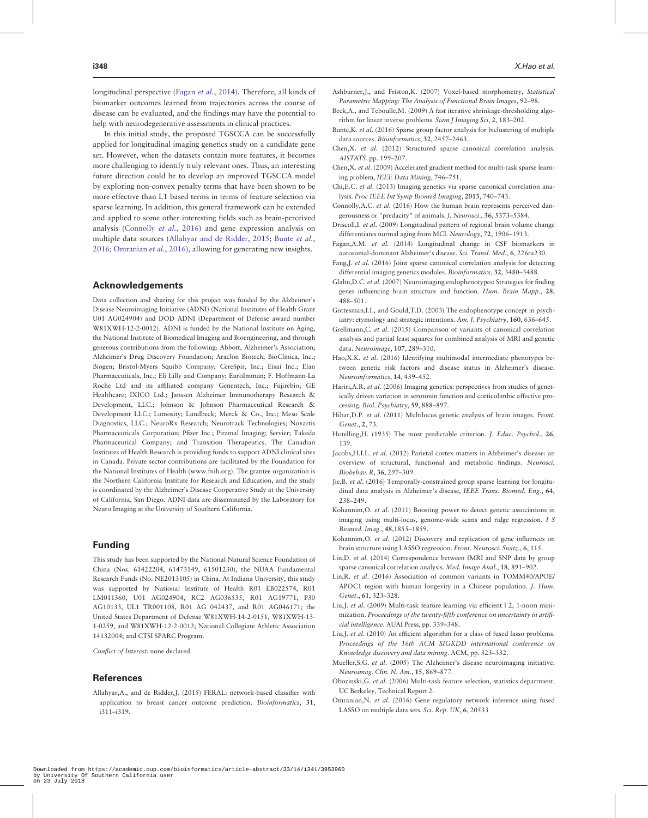<span id="page-7-0"></span>longitudinal perspective (Fagan et al., 2014). Therefore, all kinds of biomarker outcomes learned from trajectories across the course of disease can be evaluated, and the findings may have the potential to help with neurodegenerative assessments in clinical practices.

In this initial study, the proposed TGSCCA can be successfully applied for longitudinal imaging genetics study on a candidate gene set. However, when the datasets contain more features, it becomes more challenging to identify truly relevant ones. Thus, an interesting future direction could be to develop an improved TGSCCA model by exploring non-convex penalty terms that have been shown to be more effective than L1 based terms in terms of feature selection via sparse learning. In addition, this general framework can be extended and applied to some other interesting fields such as brain-perceived analysis (Connolly et al., 2016) and gene expression analysis on multiple data sources (Allahyar and de Ridder, 2015; Bunte et al., 2016; Omranian et al., 2016), allowing for generating new insights.

# Acknowledgements

Data collection and sharing for this project was funded by the Alzheimer's Disease Neuroimaging Initiative (ADNI) (National Institutes of Health Grant U01 AG024904) and DOD ADNI (Department of Defense award number W81XWH-12-2-0012). ADNI is funded by the National Institute on Aging, the National Institute of Biomedical Imaging and Bioengineering, and through generous contributions from the following: Abbott, Alzheimer's Association; Alzheimer's Drug Discovery Foundation; Araclon Biotech; BioClinica, Inc.; Biogen; Bristol-Myers Squibb Company; CereSpir, Inc.; Eisai Inc.; Elan Pharmaceuticals, Inc.; Eli Lilly and Company; EuroImmun; F. Hoffmann-La Roche Ltd and its affiliated company Genentech, Inc.; Fujirebio; GE Healthcare; IXICO Ltd.; Janssen Alzheimer Immunotherapy Research & Development, LLC.; Johnson & Johnson Pharmaceutical Research & Development LLC.; Lumosity; Lundbeck; Merck & Co., Inc.; Meso Scale Diagnostics, LLC.; NeuroRx Research; Neurotrack Technologies; Novartis Pharmaceuticals Corporation; Pfizer Inc.; Piramal Imaging; Servier; Takeda Pharmaceutical Company; and Transition Therapeutics. The Canadian Institutes of Health Research is providing funds to support ADNI clinical sites in Canada. Private sector contributions are facilitated by the Foundation for the National Institutes of Health [\(www.fnih.org\)](http://www.fnih.org). The grantee organization is the Northern California Institute for Research and Education, and the study is coordinated by the Alzheimer's Disease Cooperative Study at the University of California, San Diego. ADNI data are disseminated by the Laboratory for Neuro Imaging at the University of Southern California.

## Funding

This study has been supported by the National Natural Science Foundation of China (Nos. 61422204, 61473149, 61501230), the NUAA Fundamental Research Funds (No. NE2013105) in China. At Indiana University, this study was supported by National Institute of Health R01 EB022574, R01 LM011360, U01 AG024904, RC2 AG036535, R01 AG19771, P30 AG10133, UL1 TR001108, R01 AG 042437, and R01 AG046171; the United States Department of Defense W81XWH-14-2-0151, W81XWH-13- 1-0259, and W81XWH-12-2-0012; National Collegiate Athletic Association 14132004; and CTSI SPARC Program.

Conflict of Interest: none declared.

#### References

Allahyar,A., and de Ridder,J. (2015) FERAL: network-based classifier with application to breast cancer outcome prediction. Bioinformatics, 31, i311–i319.

- Ashburner,J., and Friston,K. (2007) Voxel-based morphometry, Statistical Parametric Mapping: The Analysis of Functional Brain Images, 92–98.
- Beck,A., and Teboulle,M. (2009) A fast iterative shrinkage-thresholding algorithm for linear inverse problems. Siam J Imaging Sci, 2, 183–202.
- Bunte,K. et al. (2016) Sparse group factor analysis for biclustering of multiple data sources. Bioinformatics, 32, 2457–2463.
- Chen,X. et al. (2012) Structured sparse canonical correlation analysis. AISTATS. pp. 199–207.
- Chen,X. et al. (2009) Accelerated gradient method for multi-task sparse learning problem, IEEE Data Mining, 746–751.
- Chi,E.C. et al. (2013) Imaging genetics via sparse canonical correlation analysis. Proc IEEE Int Symp Biomed Imaging, 2013, 740–743.
- Connolly, A.C. et al. (2016) How the human brain represents perceived dangerousness or "predacity" of animals. J. Neurosci., 36, 5373–5384.
- Driscoll,I. et al. (2009) Longitudinal pattern of regional brain volume change differentiates normal aging from MCI. Neurology, 72, 1906–1913.
- Fagan,A.M. et al. (2014) Longitudinal change in CSF biomarkers in autosomal-dominant Alzheimer's disease. Sci. Transl. Med., 6, 226ra230.
- Fang, J. et al. (2016) Joint sparse canonical correlation analysis for detecting differential imaging genetics modules. Bioinformatics, 32, 3480–3488.
- Glahn,D.C. et al. (2007) Neuroimaging endophenotypes: Strategies for finding genes influencing brain structure and function. Hum. Brain Mapp., 28, 488–501.
- Gottesman,I.I., and Gould,T.D. (2003) The endophenotype concept in psychiatry: etymology and strategic intentions. Am. J. Psychiatry, 160, 636-645.
- Grellmann,C. et al. (2015) Comparison of variants of canonical correlation analysis and partial least squares for combined analysis of MRI and genetic data. Neuroimage, 107, 289–310.
- Hao,X.K. et al. (2016) Identifying multimodal intermediate phenotypes between genetic risk factors and disease status in Alzheimer's disease. Neuroinformatics, 14, 439–452.
- Hariri, A.R. et al. (2006) Imaging genetics: perspectives from studies of genetically driven variation in serotonin function and corticolimbic affective processing. Biol. Psychiatry, 59, 888–897.
- Hibar,D.P. et al. (2011) Multilocus genetic analysis of brain images. Front. Genet., 2, 73.
- Hotelling,H. (1935) The most predictable criterion. J. Educ. Psychol., 26, 139.
- Jacobs,H.I.L. et al. (2012) Parietal cortex matters in Alzheimer's disease: an overview of structural, functional and metabolic findings. Neurosci. Biobehav. R, 36, 297–309.
- Jie,B. et al. (2016) Temporally-constrained group sparse learning for longitudinal data analysis in Alzheimer's disease, IEEE Trans. Biomed. Eng., 64, 238–249.
- Kohannim, O. et al. (2011) Boosting power to detect genetic associations in imaging using multi-locus, genome-wide scans and ridge regression. I S Biomed. Imag., 48,1855–1859.
- Kohannim,O. et al. (2012) Discovery and replication of gene influences on brain structure using LASSO regression. Front. Neurosci. Switz., 6, 115.
- Lin,D. et al. (2014) Correspondence between fMRI and SNP data by group sparse canonical correlation analysis. Med. Image Anal., 18, 891-902.
- Lin,R. et al. (2016) Association of common variants in TOMM40/APOE/ APOC1 region with human longevity in a Chinese population. J. Hum. Genet., 61, 323–328.
- Liu,J. et al. (2009) Multi-task feature learning via efficient l 2, 1-norm minimization. Proceedings of the twenty-fifth conference on uncertainty in artificial intelligence. AUAI Press, pp. 339–348.
- Liu,J. et al. (2010) An efficient algorithm for a class of fused lasso problems. Proceedings of the 16th ACM SIGKDD international conference on Knowledge discovery and data mining. ACM, pp. 323–332.
- Mueller,S.G. et al. (2005) The Alzheimer's disease neuroimaging initiative. Neuroimag. Clin. N. Am., 15, 869–877.
- Obozinski,G. et al. (2006) Multi-task feature selection, statistics department. UC Berkeley, Technical Report 2.
- Omranian,N. et al. (2016) Gene regulatory network inference using fused LASSO on multiple data sets. Sci. Rep. UK, 6, 20533